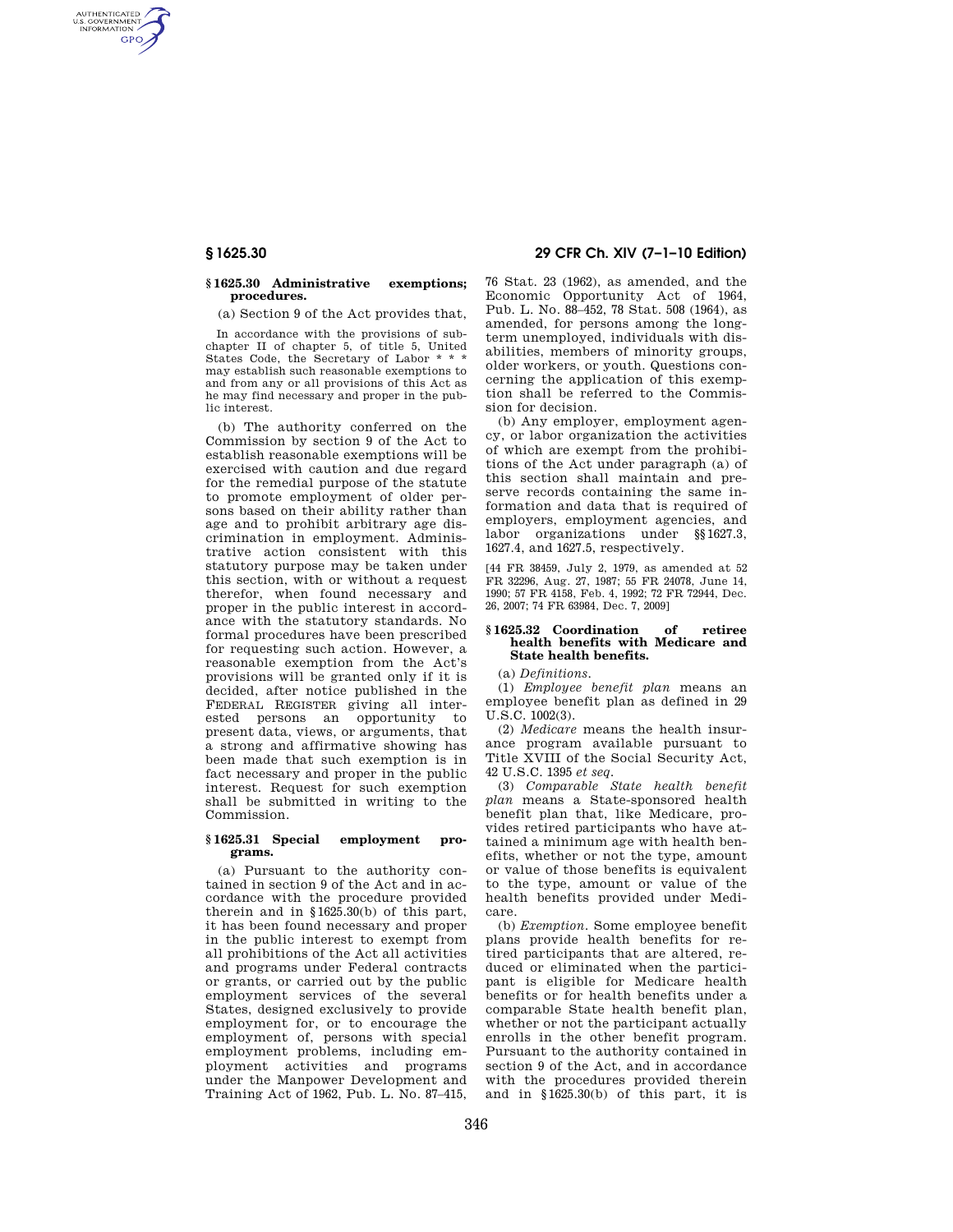AUTHENTICATED<br>U.S. GOVERNMENT<br>INFORMATION **GPO** 

## **§ 1625.30 Administrative exemptions; procedures.**

(a) Section 9 of the Act provides that,

In accordance with the provisions of subchapter II of chapter 5, of title 5, United States Code, the Secretary of Labor \* may establish such reasonable exemptions to and from any or all provisions of this Act as he may find necessary and proper in the public interest.

(b) The authority conferred on the Commission by section 9 of the Act to establish reasonable exemptions will be exercised with caution and due regard for the remedial purpose of the statute to promote employment of older persons based on their ability rather than age and to prohibit arbitrary age discrimination in employment. Administrative action consistent with this statutory purpose may be taken under this section, with or without a request therefor, when found necessary and proper in the public interest in accordance with the statutory standards. No formal procedures have been prescribed for requesting such action. However, a reasonable exemption from the Act's provisions will be granted only if it is decided, after notice published in the FEDERAL REGISTER giving all interested persons an opportunity to present data, views, or arguments, that a strong and affirmative showing has been made that such exemption is in fact necessary and proper in the public interest. Request for such exemption shall be submitted in writing to the Commission.

## **§ 1625.31 Special employment programs.**

(a) Pursuant to the authority contained in section 9 of the Act and in accordance with the procedure provided therein and in §1625.30(b) of this part, it has been found necessary and proper in the public interest to exempt from all prohibitions of the Act all activities and programs under Federal contracts or grants, or carried out by the public employment services of the several States, designed exclusively to provide employment for, or to encourage the employment of, persons with special employment problems, including employment activities and programs under the Manpower Development and Training Act of 1962, Pub. L. No. 87–415,

# **§ 1625.30 29 CFR Ch. XIV (7–1–10 Edition)**

76 Stat. 23 (1962), as amended, and the Economic Opportunity Act of 1964, Pub. L. No. 88–452, 78 Stat. 508 (1964), as amended, for persons among the longterm unemployed, individuals with disabilities, members of minority groups, older workers, or youth. Questions concerning the application of this exemption shall be referred to the Commission for decision.

(b) Any employer, employment agency, or labor organization the activities of which are exempt from the prohibitions of the Act under paragraph (a) of this section shall maintain and preserve records containing the same information and data that is required of employers, employment agencies, and labor organizations under §§1627.3, 1627.4, and 1627.5, respectively.

[44 FR 38459, July 2, 1979, as amended at 52 FR 32296, Aug. 27, 1987; 55 FR 24078, June 14, 1990; 57 FR 4158, Feb. 4, 1992; 72 FR 72944, Dec. 26, 2007; 74 FR 63984, Dec. 7, 2009]

## **§ 1625.32 Coordination of retiree health benefits with Medicare and State health benefits.**

(a) *Definitions*.

(1) *Employee benefit plan* means an employee benefit plan as defined in 29 U.S.C. 1002(3).

(2) *Medicare* means the health insurance program available pursuant to Title XVIII of the Social Security Act, 42 U.S.C. 1395 *et seq.* 

(3) *Comparable State health benefit plan* means a State-sponsored health benefit plan that, like Medicare, provides retired participants who have attained a minimum age with health benefits, whether or not the type, amount or value of those benefits is equivalent to the type, amount or value of the health benefits provided under Medicare.

(b) *Exemption.* Some employee benefit plans provide health benefits for retired participants that are altered, reduced or eliminated when the participant is eligible for Medicare health benefits or for health benefits under a comparable State health benefit plan, whether or not the participant actually enrolls in the other benefit program. Pursuant to the authority contained in section 9 of the Act, and in accordance with the procedures provided therein and in §1625.30(b) of this part, it is